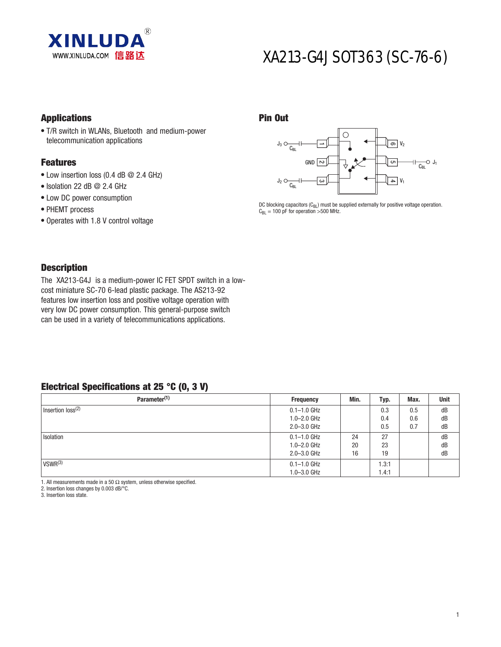

# XA213-G4J SOT363 (SC-76-6)

### **Applications**

• T/R switch in WLANs, Bluetooth and medium-power telecommunication applications

#### Features

- $\bullet$  Low insertion loss (0.4 dB @ 2.4 GHz)
- $\bullet$  Isolation 22 dB @ 2.4 GHz
- Low DC power consumption
- PHEMT process
- Operates with 1.8 V control voltage

#### - $\overline{c}$ دە တ $\mid$  V $_2$ **ຕາ**  $\mathsf{P} \mid \mathsf{V}_1$  $\overline{C_{\text{BI}}}$  J<sub>1</sub>  $J_3 \n\bigcirc$ <sub>CBL</sub>  $C_{BL}$  $J<sub>2</sub>$

DC blocking capacitors  $(C_{BL})$  must be supplied externally for positive voltage operation.  $C_{BL} = 100$  pF for operation >500 MHz.

### **Description**

The XA213-G4J is a medium-power IC FET SPDT switch in a lowcost miniature SC-70 6-lead plastic package. The AS213-92 features low insertion loss and positive voltage operation with very low DC power consumption. This general-purpose switch can be used in a variety of telecommunications applications.

### Electrical Specifications at 25 °C (0, 3 V)

| Parameter <sup>(1)</sup>      | <b>Frequency</b> | Min. | Typ.  | Max. | Unit |
|-------------------------------|------------------|------|-------|------|------|
| Insertion loss <sup>(2)</sup> | $0.1 - 1.0$ GHz  |      | 0.3   | 0.5  | dB   |
|                               | $1.0 - 2.0$ GHz  |      | 0.4   | 0.6  | dB   |
|                               | $2.0 - 3.0$ GHz  |      | 0.5   | 0.7  | dB   |
| Isolation                     | $0.1 - 1.0$ GHz  | 24   | 27    |      | dB   |
|                               | $1.0 - 2.0$ GHz  | 20   | 23    |      | dB   |
|                               | $2.0 - 3.0$ GHz  | 16   | 19    |      | dB   |
| VSWR <sup>(3)</sup>           | $0.1 - 1.0$ GHz  |      | .3:1  |      |      |
|                               | $1.0 - 3.0$ GHz  |      | 1.4:1 |      |      |

Pin Out

1. All measurements made in a 50  $\Omega$  system, unless otherwise specified.

2. Insertion loss changes by 0.003 dB/°C.

3. Insertion loss state.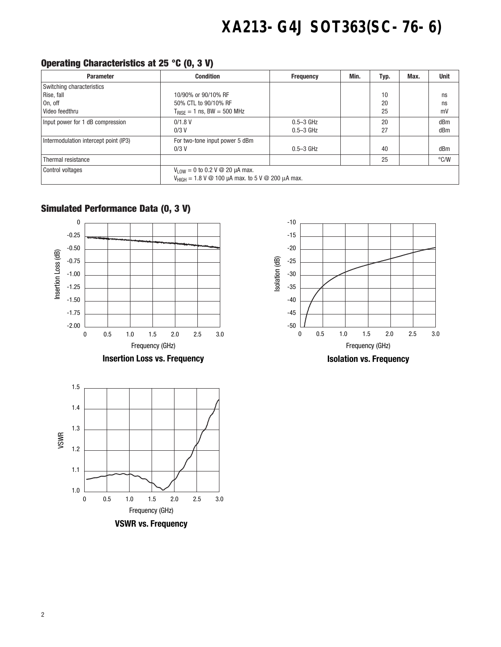# **XA213-G4J SOT363(SC-76-6)**

## Operating Characteristics at 25 °C (0, 3 V)

| <b>Parameter</b>                      | <b>Condition</b>                                                                                            | <b>Frequency</b> | Min. | Typ. | Max. | <b>Unit</b>   |
|---------------------------------------|-------------------------------------------------------------------------------------------------------------|------------------|------|------|------|---------------|
| Switching characteristics             |                                                                                                             |                  |      |      |      |               |
| Rise, fall                            | 10/90% or 90/10% RF                                                                                         |                  |      | 10   |      | ns            |
| On, off                               | 50% CTL to 90/10% RF                                                                                        |                  |      | 20   |      | ns            |
| Video feedthru                        | $T_{\text{RISF}} = 1$ ns, BW = 500 MHz                                                                      |                  |      | 25   |      | mV            |
| Input power for 1 dB compression      | $0/1.8$ V                                                                                                   | $0.5 - 3$ GHz    |      | 20   |      | dBm           |
|                                       | $0/3$ V                                                                                                     | $0.5 - 3$ GHz    |      | 27   |      | dBm           |
| Intermodulation intercept point (IP3) | For two-tone input power 5 dBm                                                                              |                  |      |      |      |               |
|                                       | $0/3$ V                                                                                                     | $0.5 - 3$ GHz    |      | 40   |      | dBm           |
| Thermal resistance                    |                                                                                                             |                  |      | 25   |      | $\degree$ C/W |
| <b>Control voltages</b>               | $V_{LOW} = 0$ to 0.2 V @ 20 µA max.                                                                         |                  |      |      |      |               |
|                                       | $V_{\text{HIGH}} = 1.8 \text{ V} \text{ } \textcircled{2}$ 100 µA max. to 5 V $\textcircled{2}$ 200 µA max. |                  |      |      |      |               |

# Simulated Performance Data (0, 3 V)

**VSWR vs. Frequency** Frequency (GHz)

0 0.5 1.0 1.5 2.0 2.5 3.0



1.0

1.1